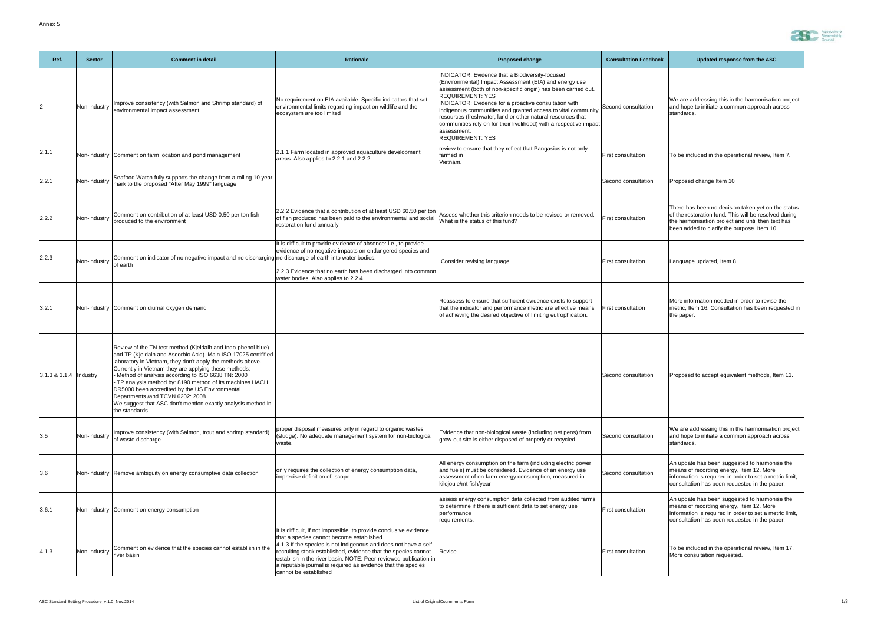| Ref.                         | <b>Sector</b> | <b>Comment in detail</b>                                                                                                                                                                                                                                                                                                                                                                                                                                                                                                                        | <b>Rationale</b>                                                                                                                                                                                                                                                                                                                                                                                                   | <b>Proposed change</b>                                                                                                                                                                                                                                                                                                                                                                                                                                                                                         | <b>Consultation Feedback</b> | Updated response from the ASC                                                                                                                                                                                   |
|------------------------------|---------------|-------------------------------------------------------------------------------------------------------------------------------------------------------------------------------------------------------------------------------------------------------------------------------------------------------------------------------------------------------------------------------------------------------------------------------------------------------------------------------------------------------------------------------------------------|--------------------------------------------------------------------------------------------------------------------------------------------------------------------------------------------------------------------------------------------------------------------------------------------------------------------------------------------------------------------------------------------------------------------|----------------------------------------------------------------------------------------------------------------------------------------------------------------------------------------------------------------------------------------------------------------------------------------------------------------------------------------------------------------------------------------------------------------------------------------------------------------------------------------------------------------|------------------------------|-----------------------------------------------------------------------------------------------------------------------------------------------------------------------------------------------------------------|
|                              | Non-industry  | Improve consistency (with Salmon and Shrimp standard) of<br>environmental impact assessment                                                                                                                                                                                                                                                                                                                                                                                                                                                     | No requirement on EIA available. Specific indicators that set<br>environmental limits regarding impact on wildlife and the<br>ecosystem are too limited                                                                                                                                                                                                                                                            | INDICATOR: Evidence that a Biodiversity-focused<br>(Environmental) Impact Assessment (EIA) and energy use<br>assessment (both of non-specific origin) has been carried out.<br><b>REQUIREMENT: YES</b><br>INDICATOR: Evidence for a proactive consultation with<br>indigenous communities and granted access to vital community<br>resources (freshwater, land or other natural resources that<br>communities rely on for their livelihood) with a respective impact<br>assessment.<br><b>REQUIREMENT: YES</b> | Second consultation          | We are addressing this in the harmonisation project<br>and hope to initiate a common approach across<br>standards.                                                                                              |
| 2.1.1                        |               | Non-industry Comment on farm location and pond management                                                                                                                                                                                                                                                                                                                                                                                                                                                                                       | 2.1.1 Farm located in approved aquaculture development<br>areas. Also applies to 2.2.1 and 2.2.2                                                                                                                                                                                                                                                                                                                   | review to ensure that they reflect that Pangasius is not only<br>farmed in<br>Vietnam                                                                                                                                                                                                                                                                                                                                                                                                                          | <b>First consultation</b>    | To be included in the operational review, Item 7.                                                                                                                                                               |
| 2.2.1                        | Non-industry  | Seafood Watch fully supports the change from a rolling 10 year<br>mark to the proposed "After May 1999" language                                                                                                                                                                                                                                                                                                                                                                                                                                |                                                                                                                                                                                                                                                                                                                                                                                                                    |                                                                                                                                                                                                                                                                                                                                                                                                                                                                                                                | Second consultation          | Proposed change Item 10                                                                                                                                                                                         |
| 2.2.2                        | Non-industry  | Comment on contribution of at least USD 0.50 per ton fish<br>produced to the environment                                                                                                                                                                                                                                                                                                                                                                                                                                                        | 2.2.2 Evidence that a contribution of at least USD \$0.50 per ton<br>of fish produced has been paid to the environmental and social<br>restoration fund annually                                                                                                                                                                                                                                                   | Assess whether this criterion needs to be revised or removed.<br>What is the status of this fund?                                                                                                                                                                                                                                                                                                                                                                                                              | <b>First consultation</b>    | There has been no decision taken yet on the status<br>of the restoration fund. This will be resolved during<br>the harmonisation project and until then text has<br>been added to clarify the purpose. Item 10. |
| 2.2.3                        | Non-industry  | Comment on indicator of no negative impact and no discharging no discharge of earth into water bodies.<br>of earth                                                                                                                                                                                                                                                                                                                                                                                                                              | It is difficult to provide evidence of absence: i.e., to provide<br>evidence of no negative impacts on endangered species and<br>2.2.3 Evidence that no earth has been discharged into common<br>water bodies. Also applies to 2.2.4                                                                                                                                                                               | Consider revising language                                                                                                                                                                                                                                                                                                                                                                                                                                                                                     | <b>First consultation</b>    | Language updated, Item 8                                                                                                                                                                                        |
| 3.2.1                        |               | Non-industry Comment on diurnal oxygen demand                                                                                                                                                                                                                                                                                                                                                                                                                                                                                                   |                                                                                                                                                                                                                                                                                                                                                                                                                    | Reassess to ensure that sufficient evidence exists to support<br>that the indicator and performance metric are effective means<br>of achieving the desired objective of limiting eutrophication.                                                                                                                                                                                                                                                                                                               | <b>First consultation</b>    | More information needed in order to revise the<br>metric, Item 16. Consultation has been requested in<br>the paper.                                                                                             |
| $ 3.1.3 \& 3.1.4$   Industry |               | Review of the TN test method (Kjeldalh and Indo-phenol blue)<br>and TP (Kjeldalh and Ascorbic Acid). Main ISO 17025 certifified<br>laboratory in Vietnam, they don't apply the methods above.<br>Currently in Vietnam they are applying these methods:<br>Method of analysis according to ISO 6638 TN: 2000<br>TP analysis method by: 8190 method of its machines HACH<br>DR5000 been accredited by the US Environmental<br>Departments /and TCVN 6202: 2008.<br>We suggest that ASC don't mention exactly analysis method in<br>the standards. |                                                                                                                                                                                                                                                                                                                                                                                                                    |                                                                                                                                                                                                                                                                                                                                                                                                                                                                                                                | Second consultation          | Proposed to accept equivalent methods, Item 13.                                                                                                                                                                 |
| 3.5                          | Non-industry  | Improve consistency (with Salmon, trout and shrimp standard)<br>of waste discharge                                                                                                                                                                                                                                                                                                                                                                                                                                                              | proper disposal measures only in regard to organic wastes<br>(sludge). No adequate management system for non-biological<br>waste.                                                                                                                                                                                                                                                                                  | Evidence that non-biological waste (including net pens) from<br>grow-out site is either disposed of properly or recycled                                                                                                                                                                                                                                                                                                                                                                                       | Second consultation          | We are addressing this in the harmonisation project<br>and hope to initiate a common approach across<br>standards.                                                                                              |
| 3.6                          |               | Non-industry Remove ambiguity on energy consumptive data collection                                                                                                                                                                                                                                                                                                                                                                                                                                                                             | only requires the collection of energy consumption data,<br>imprecise definition of scope                                                                                                                                                                                                                                                                                                                          | All energy consumption on the farm (including electric power<br>and fuels) must be considered. Evidence of an energy use<br>assessment of on-farm energy consumption, measured in<br>kilojoule/mt fish/year                                                                                                                                                                                                                                                                                                    | Second consultation          | An update has been suggested to harmonise the<br>means of recording energy, Item 12. More<br>information is required in order to set a metric limit,<br>consultation has been requested in the paper.           |
| 3.6.1                        |               | Non-industry Comment on energy consumption                                                                                                                                                                                                                                                                                                                                                                                                                                                                                                      |                                                                                                                                                                                                                                                                                                                                                                                                                    | assess energy consumption data collected from audited farms<br>to determine if there is sufficient data to set energy use<br>performance<br>requirements.                                                                                                                                                                                                                                                                                                                                                      | <b>First consultation</b>    | An update has been suggested to harmonise the<br>means of recording energy, Item 12. More<br>information is required in order to set a metric limit,<br>consultation has been requested in the paper.           |
| 4.1.3                        | Non-industry  | Comment on evidence that the species cannot establish in the<br>river basin                                                                                                                                                                                                                                                                                                                                                                                                                                                                     | It is difficult, if not impossible, to provide conclusive evidence<br>that a species cannot become established.<br>4.1.3 If the species is not indigenous and does not have a self-<br>recruiting stock established, evidence that the species cannot<br>establish in the river basin. NOTE: Peer-reviewed publication in<br>a reputable journal is required as evidence that the species<br>cannot be established | Revise                                                                                                                                                                                                                                                                                                                                                                                                                                                                                                         | <b>First consultation</b>    | To be included in the operational review, Item 17.<br>More consultation requested.                                                                                                                              |

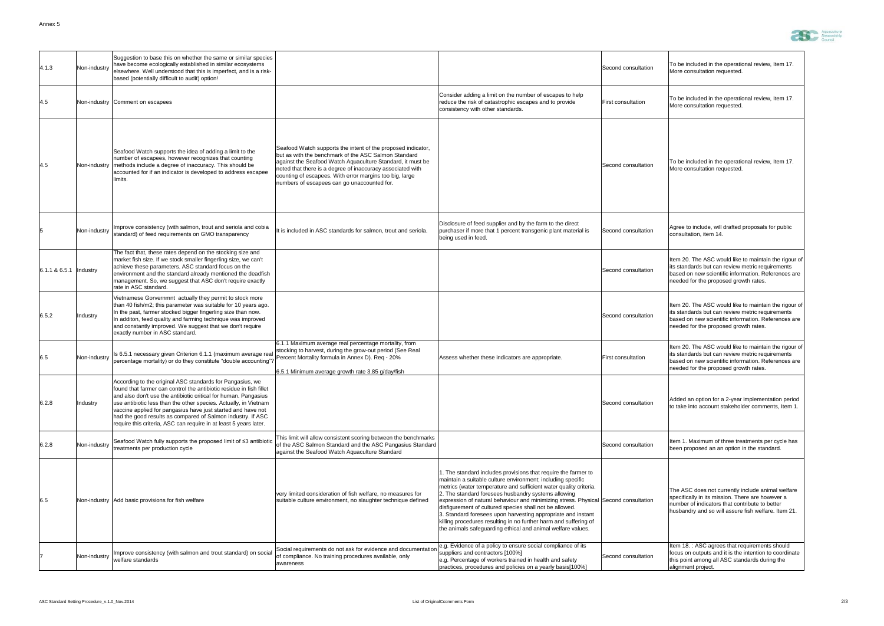| 4.1.3                      | Non-industry    | Suggestion to base this on whether the same or similar species<br>have become ecologically established in similar ecosystems<br>elsewhere. Well understood that this is imperfect, and is a risk-<br>based (potentially difficult to audit) option!                                                                                                                                                                                                                         |                                                                                                                                                                                                                                                                                                                                                             |                                                                                                                                                                                                                                                                                                                                                                                                                                                                                                                                                                                                                | Second consultation       | To be included in the operational review, Item 17.<br>More consultation requested.                                                                                                                             |
|----------------------------|-----------------|-----------------------------------------------------------------------------------------------------------------------------------------------------------------------------------------------------------------------------------------------------------------------------------------------------------------------------------------------------------------------------------------------------------------------------------------------------------------------------|-------------------------------------------------------------------------------------------------------------------------------------------------------------------------------------------------------------------------------------------------------------------------------------------------------------------------------------------------------------|----------------------------------------------------------------------------------------------------------------------------------------------------------------------------------------------------------------------------------------------------------------------------------------------------------------------------------------------------------------------------------------------------------------------------------------------------------------------------------------------------------------------------------------------------------------------------------------------------------------|---------------------------|----------------------------------------------------------------------------------------------------------------------------------------------------------------------------------------------------------------|
| 4.5                        |                 | Non-industry Comment on escapees                                                                                                                                                                                                                                                                                                                                                                                                                                            |                                                                                                                                                                                                                                                                                                                                                             | Consider adding a limit on the number of escapes to help<br>reduce the risk of catastrophic escapes and to provide<br>consistency with other standards.                                                                                                                                                                                                                                                                                                                                                                                                                                                        | <b>First consultation</b> | To be included in the operational review, Item 17.<br>More consultation requested.                                                                                                                             |
| 4.5                        |                 | Seafood Watch supports the idea of adding a limit to the<br>number of escapees, however recognizes that counting<br>Non-industry methods include a degree of inaccuracy. This should be<br>accounted for if an indicator is developed to address escapee<br>limits.                                                                                                                                                                                                         | Seafood Watch supports the intent of the proposed indicator,<br>Ibut as with the benchmark of the ASC Salmon Standard<br>against the Seafood Watch Aquaculture Standard, it must be<br>noted that there is a degree of inaccuracy associated with<br>counting of escapees. With error margins too big, large<br>numbers of escapees can go unaccounted for. |                                                                                                                                                                                                                                                                                                                                                                                                                                                                                                                                                                                                                | Second consultation       | To be included in the operational review, Item 17.<br>More consultation requested.                                                                                                                             |
|                            | Non-industry    | Improve consistency (with salmon, trout and seriola and cobia<br>standard) of feed requirements on GMO transparency                                                                                                                                                                                                                                                                                                                                                         | It is included in ASC standards for salmon, trout and seriola.                                                                                                                                                                                                                                                                                              | Disclosure of feed supplier and by the farm to the direct<br>purchaser if more that 1 percent transgenic plant material is<br>being used in feed.                                                                                                                                                                                                                                                                                                                                                                                                                                                              | Second consultation       | Agree to include, will drafted proposals for public<br>consultation, item 14.                                                                                                                                  |
| $6.1.1 \& 6.5.1$  Industry |                 | The fact that, these rates depend on the stocking size and<br>market fish size. If we stock smaller fingerling size, we can't<br>achieve these parameters. ASC standard focus on the<br>environment and the standard already mentioned the deadfish<br>management. So, we suggest that ASC don't require exactly<br>rate in ASC standard.                                                                                                                                   |                                                                                                                                                                                                                                                                                                                                                             |                                                                                                                                                                                                                                                                                                                                                                                                                                                                                                                                                                                                                | Second consultation       | Item 20. The ASC would like to maintain the rigour of<br>lits standards but can review metric requirements<br>based on new scientific information. References are<br>needed for the proposed growth rates.     |
| 6.5.2                      | <b>Industry</b> | Vietnamese Gorvernmnt actually they permit to stock more<br>than 40 fish/m2; this parameter was suitable for 10 years ago.<br>In the past, farmer stocked bigger fingerling size than now.<br>In additon, feed quality and farming technique was improved<br>and constantly improved. We suggest that we don't require<br>exactly number in ASC standard.                                                                                                                   |                                                                                                                                                                                                                                                                                                                                                             |                                                                                                                                                                                                                                                                                                                                                                                                                                                                                                                                                                                                                | Second consultation       | Item 20. The ASC would like to maintain the rigour of<br>lits standards but can review metric requirements<br>based on new scientific information. References are<br>needed for the proposed growth rates.     |
| 6.5                        | Non-industry    | Is 6.5.1 necessary given Criterion 6.1.1 (maximum average real<br>lpercentage mortality) or do they constitute "double accounting"? Percent Mortality formula in Annex D). Req - 20%                                                                                                                                                                                                                                                                                        | 6.1.1 Maximum average real percentage mortality, from<br>stocking to harvest, during the grow-out period (See Real<br>6.5.1 Minimum average growth rate 3.85 g/day/fish                                                                                                                                                                                     | Assess whether these indicators are appropriate.                                                                                                                                                                                                                                                                                                                                                                                                                                                                                                                                                               | <b>First consultation</b> | Item 20. The ASC would like to maintain the rigour of<br>lits standards but can review metric requirements<br>based on new scientific information. References are<br>needed for the proposed growth rates.     |
| 6.2.8                      | <b>Industry</b> | According to the original ASC standards for Pangasius, we<br>found that farmer can control the antibiotic residue in fish fillet<br>and also don't use the antibiotic critical for human. Pangasius<br>use antibiotic less than the other species. Actually, in Vietnam<br>vaccine applied for pangasius have just started and have not<br>had the good results as compared of Salmon industry. If ASC<br>require this criteria, ASC can require in at least 5 years later. |                                                                                                                                                                                                                                                                                                                                                             |                                                                                                                                                                                                                                                                                                                                                                                                                                                                                                                                                                                                                | Second consultation       | Added an option for a 2-year implementation period<br>to take into account stakeholder comments, Item 1.                                                                                                       |
| 6.2.8                      | Non-industry    | Seafood Watch fully supports the proposed limit of ≤3 antibiotic<br>treatments per production cycle                                                                                                                                                                                                                                                                                                                                                                         | This limit will allow consistent scoring between the benchmarks<br>of the ASC Salmon Standard and the ASC Pangasius Standard<br>against the Seafood Watch Aquaculture Standard                                                                                                                                                                              |                                                                                                                                                                                                                                                                                                                                                                                                                                                                                                                                                                                                                | Second consultation       | Item 1. Maximum of three treatments per cycle has<br>been proposed an an option in the standard.                                                                                                               |
| 6.5                        |                 | Non-industry Add basic provisions for fish welfare                                                                                                                                                                                                                                                                                                                                                                                                                          | very limited consideration of fish welfare, no measures for<br>suitable culture environment, no slaughter technique defined                                                                                                                                                                                                                                 | 1. The standard includes provisions that require the farmer to<br>maintain a suitable culture environment; including specific<br>metrics (water temperature and sufficient water quality criteria.<br>2. The standard foresees husbandry systems allowing<br>expression of natural behaviour and minimizing stress. Physical Second consultation<br>disfigurement of cultured species shall not be allowed.<br>3. Standard foresees upon harvesting appropriate and instant<br>killing procedures resulting in no further harm and suffering of<br>the animals safeguarding ethical and animal welfare values. |                           | The ASC does not currently include animal welfare<br>specifically in its mission. There are however a<br>number of indicators that contribute to better<br>husbandry and so will assure fish welfare. Item 21. |
|                            | Non-industry    | Improve consistency (with salmon and trout standard) on social<br>welfare standards                                                                                                                                                                                                                                                                                                                                                                                         | Social requirements do not ask for evidence and documentation<br>of compliance. No training procedures available, only<br>awareness                                                                                                                                                                                                                         | e.g. Evidence of a policy to ensure social compliance of its<br>suppliers and contractors [100%]<br>e.g. Percentage of workers trained in health and safety<br>practices, procedures and policies on a yearly basis[100%]                                                                                                                                                                                                                                                                                                                                                                                      | Second consultation       | Item 18. : ASC agrees that requirements should<br>focus on outputs and it is the intention to coordinate<br>this point among all ASC standards during the<br>alignment project.                                |